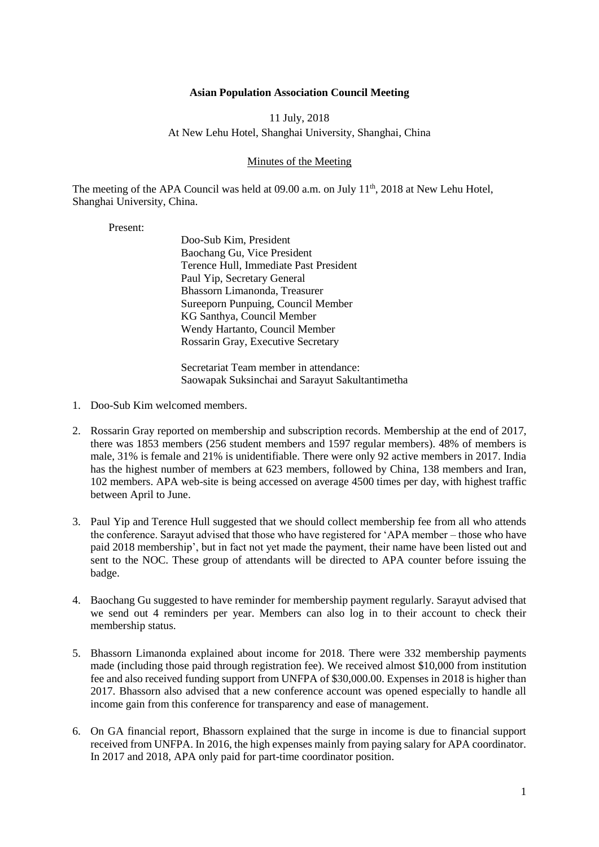## **Asian Population Association Council Meeting**

## 11 July, 2018 At New Lehu Hotel, Shanghai University, Shanghai, China

## Minutes of the Meeting

The meeting of the APA Council was held at 09.00 a.m. on July 11<sup>th</sup>, 2018 at New Lehu Hotel, Shanghai University, China.

Present:

Doo-Sub Kim, President Baochang Gu, Vice President Terence Hull, Immediate Past President Paul Yip, Secretary General Bhassorn Limanonda, Treasurer Sureeporn Punpuing, Council Member KG Santhya, Council Member Wendy Hartanto, Council Member Rossarin Gray, Executive Secretary

Secretariat Team member in attendance: Saowapak Suksinchai and Sarayut Sakultantimetha

- 1. Doo-Sub Kim welcomed members.
- 2. Rossarin Gray reported on membership and subscription records. Membership at the end of 2017, there was 1853 members (256 student members and 1597 regular members). 48% of members is male, 31% is female and 21% is unidentifiable. There were only 92 active members in 2017. India has the highest number of members at 623 members, followed by China, 138 members and Iran, 102 members. APA web-site is being accessed on average 4500 times per day, with highest traffic between April to June.
- 3. Paul Yip and Terence Hull suggested that we should collect membership fee from all who attends the conference. Sarayut advised that those who have registered for 'APA member – those who have paid 2018 membership', but in fact not yet made the payment, their name have been listed out and sent to the NOC. These group of attendants will be directed to APA counter before issuing the badge.
- 4. Baochang Gu suggested to have reminder for membership payment regularly. Sarayut advised that we send out 4 reminders per year. Members can also log in to their account to check their membership status.
- 5. Bhassorn Limanonda explained about income for 2018. There were 332 membership payments made (including those paid through registration fee). We received almost \$10,000 from institution fee and also received funding support from UNFPA of \$30,000.00. Expenses in 2018 is higher than 2017. Bhassorn also advised that a new conference account was opened especially to handle all income gain from this conference for transparency and ease of management.
- 6. On GA financial report, Bhassorn explained that the surge in income is due to financial support received from UNFPA. In 2016, the high expenses mainly from paying salary for APA coordinator. In 2017 and 2018, APA only paid for part-time coordinator position.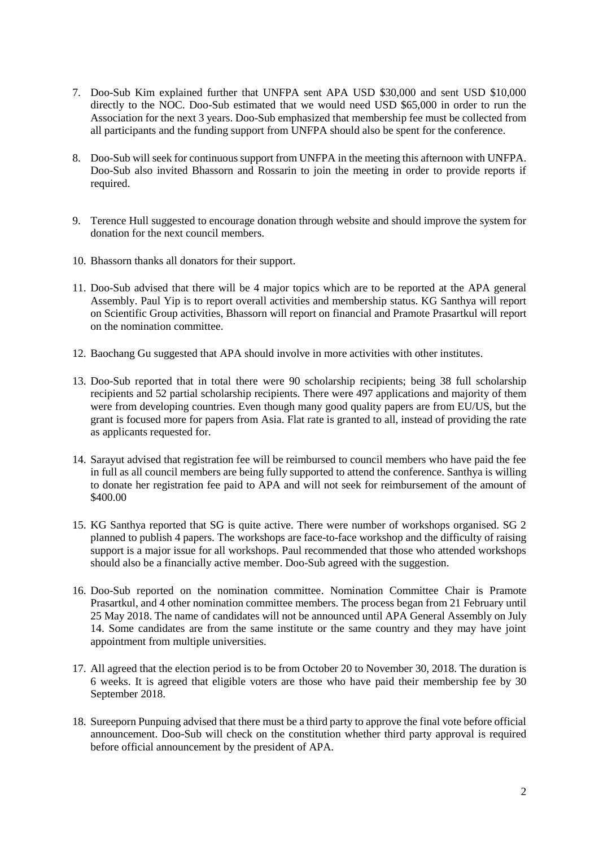- 7. Doo-Sub Kim explained further that UNFPA sent APA USD \$30,000 and sent USD \$10,000 directly to the NOC. Doo-Sub estimated that we would need USD \$65,000 in order to run the Association for the next 3 years. Doo-Sub emphasized that membership fee must be collected from all participants and the funding support from UNFPA should also be spent for the conference.
- 8. Doo-Sub will seek for continuous support from UNFPA in the meeting this afternoon with UNFPA. Doo-Sub also invited Bhassorn and Rossarin to join the meeting in order to provide reports if required.
- 9. Terence Hull suggested to encourage donation through website and should improve the system for donation for the next council members.
- 10. Bhassorn thanks all donators for their support.
- 11. Doo-Sub advised that there will be 4 major topics which are to be reported at the APA general Assembly. Paul Yip is to report overall activities and membership status. KG Santhya will report on Scientific Group activities, Bhassorn will report on financial and Pramote Prasartkul will report on the nomination committee.
- 12. Baochang Gu suggested that APA should involve in more activities with other institutes.
- 13. Doo-Sub reported that in total there were 90 scholarship recipients; being 38 full scholarship recipients and 52 partial scholarship recipients. There were 497 applications and majority of them were from developing countries. Even though many good quality papers are from EU/US, but the grant is focused more for papers from Asia. Flat rate is granted to all, instead of providing the rate as applicants requested for.
- 14. Sarayut advised that registration fee will be reimbursed to council members who have paid the fee in full as all council members are being fully supported to attend the conference. Santhya is willing to donate her registration fee paid to APA and will not seek for reimbursement of the amount of \$400.00
- 15. KG Santhya reported that SG is quite active. There were number of workshops organised. SG 2 planned to publish 4 papers. The workshops are face-to-face workshop and the difficulty of raising support is a major issue for all workshops. Paul recommended that those who attended workshops should also be a financially active member. Doo-Sub agreed with the suggestion.
- 16. Doo-Sub reported on the nomination committee. Nomination Committee Chair is Pramote Prasartkul, and 4 other nomination committee members. The process began from 21 February until 25 May 2018. The name of candidates will not be announced until APA General Assembly on July 14. Some candidates are from the same institute or the same country and they may have joint appointment from multiple universities.
- 17. All agreed that the election period is to be from October 20 to November 30, 2018. The duration is 6 weeks. It is agreed that eligible voters are those who have paid their membership fee by 30 September 2018.
- 18. Sureeporn Punpuing advised that there must be a third party to approve the final vote before official announcement. Doo-Sub will check on the constitution whether third party approval is required before official announcement by the president of APA.